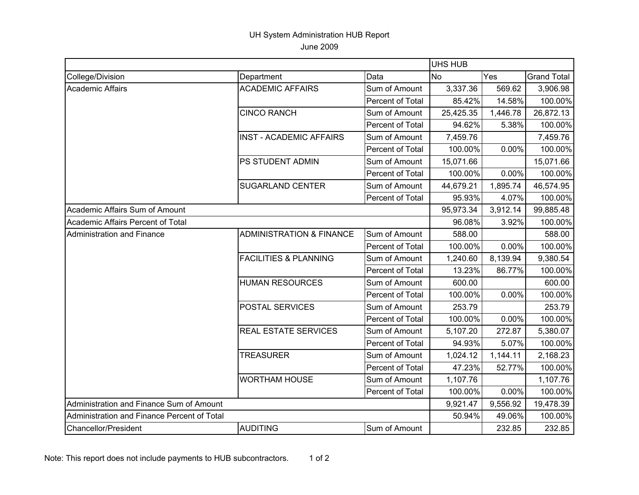## UH System Administration HUB Report June 2009

|                                             |                                     |                  | UHS HUB   |          |                    |
|---------------------------------------------|-------------------------------------|------------------|-----------|----------|--------------------|
| College/Division                            | Department                          | Data             | <b>No</b> | Yes      | <b>Grand Total</b> |
| <b>Academic Affairs</b>                     | <b>ACADEMIC AFFAIRS</b>             | Sum of Amount    | 3,337.36  | 569.62   | 3,906.98           |
|                                             |                                     | Percent of Total | 85.42%    | 14.58%   | 100.00%            |
|                                             | <b>CINCO RANCH</b>                  | Sum of Amount    | 25,425.35 | 1,446.78 | 26,872.13          |
|                                             |                                     | Percent of Total | 94.62%    | 5.38%    | 100.00%            |
|                                             | <b>INST - ACADEMIC AFFAIRS</b>      | Sum of Amount    | 7,459.76  |          | 7,459.76           |
|                                             |                                     | Percent of Total | 100.00%   | 0.00%    | 100.00%            |
|                                             | PS STUDENT ADMIN                    | Sum of Amount    | 15,071.66 |          | 15,071.66          |
|                                             |                                     | Percent of Total | 100.00%   | 0.00%    | 100.00%            |
|                                             | <b>SUGARLAND CENTER</b>             | Sum of Amount    | 44,679.21 | 1,895.74 | 46,574.95          |
|                                             |                                     | Percent of Total | 95.93%    | 4.07%    | 100.00%            |
| Academic Affairs Sum of Amount              |                                     |                  | 95,973.34 | 3,912.14 | 99,885.48          |
| Academic Affairs Percent of Total           |                                     |                  | 96.08%    | 3.92%    | 100.00%            |
| Administration and Finance                  | <b>ADMINISTRATION &amp; FINANCE</b> | Sum of Amount    | 588.00    |          | 588.00             |
|                                             |                                     | Percent of Total | 100.00%   | 0.00%    | 100.00%            |
|                                             | <b>FACILITIES &amp; PLANNING</b>    | Sum of Amount    | 1,240.60  | 8,139.94 | 9,380.54           |
|                                             |                                     | Percent of Total | 13.23%    | 86.77%   | 100.00%            |
|                                             | <b>HUMAN RESOURCES</b>              | Sum of Amount    | 600.00    |          | 600.00             |
|                                             |                                     | Percent of Total | 100.00%   | 0.00%    | 100.00%            |
|                                             | POSTAL SERVICES                     | Sum of Amount    | 253.79    |          | 253.79             |
|                                             |                                     | Percent of Total | 100.00%   | 0.00%    | 100.00%            |
|                                             | REAL ESTATE SERVICES                | Sum of Amount    | 5,107.20  | 272.87   | 5,380.07           |
|                                             |                                     | Percent of Total | 94.93%    | 5.07%    | 100.00%            |
|                                             | <b>TREASURER</b>                    | Sum of Amount    | 1,024.12  | 1,144.11 | 2,168.23           |
|                                             |                                     | Percent of Total | 47.23%    | 52.77%   | 100.00%            |
|                                             | <b>WORTHAM HOUSE</b>                | Sum of Amount    | 1,107.76  |          | 1,107.76           |
|                                             |                                     | Percent of Total | 100.00%   | 0.00%    | 100.00%            |
| Administration and Finance Sum of Amount    |                                     |                  | 9,921.47  | 9,556.92 | 19,478.39          |
| Administration and Finance Percent of Total |                                     | 50.94%           | 49.06%    | 100.00%  |                    |
| Chancellor/President                        | <b>AUDITING</b>                     | Sum of Amount    |           | 232.85   | 232.85             |